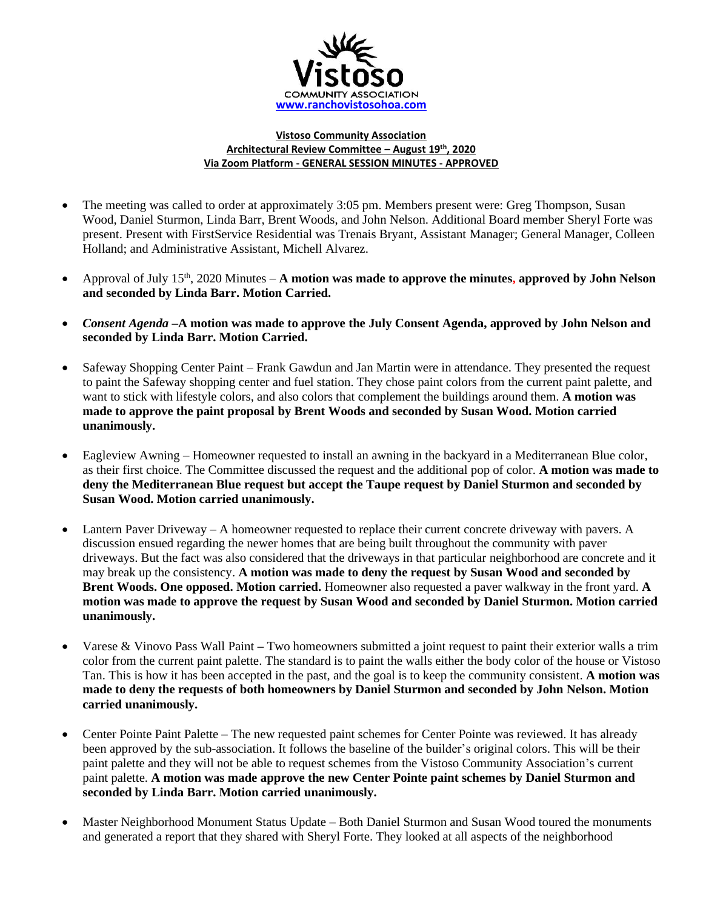

## **Vistoso Community Association Architectural Review Committee – August 19th , 2020 Via Zoom Platform - GENERAL SESSION MINUTES - APPROVED**

- The meeting was called to order at approximately 3:05 pm. Members present were: Greg Thompson, Susan Wood, Daniel Sturmon, Linda Barr, Brent Woods, and John Nelson. Additional Board member Sheryl Forte was present. Present with FirstService Residential was Trenais Bryant, Assistant Manager; General Manager, Colleen Holland; and Administrative Assistant, Michell Alvarez.
- Approval of July 15<sup>th</sup>, 2020 Minutes **A** motion was made to approve the minutes, approved by John Nelson **and seconded by Linda Barr. Motion Carried.**
- *Consent Agenda –***A motion was made to approve the July Consent Agenda, approved by John Nelson and seconded by Linda Barr. Motion Carried.**
- Safeway Shopping Center Paint Frank Gawdun and Jan Martin were in attendance. They presented the request to paint the Safeway shopping center and fuel station. They chose paint colors from the current paint palette, and want to stick with lifestyle colors, and also colors that complement the buildings around them. **A motion was made to approve the paint proposal by Brent Woods and seconded by Susan Wood. Motion carried unanimously.**
- Eagleview Awning Homeowner requested to install an awning in the backyard in a Mediterranean Blue color, as their first choice. The Committee discussed the request and the additional pop of color. **A motion was made to deny the Mediterranean Blue request but accept the Taupe request by Daniel Sturmon and seconded by Susan Wood. Motion carried unanimously.**
- Lantern Paver Driveway A homeowner requested to replace their current concrete driveway with pavers. A discussion ensued regarding the newer homes that are being built throughout the community with paver driveways. But the fact was also considered that the driveways in that particular neighborhood are concrete and it may break up the consistency. **A motion was made to deny the request by Susan Wood and seconded by Brent Woods. One opposed. Motion carried.** Homeowner also requested a paver walkway in the front yard. **A motion was made to approve the request by Susan Wood and seconded by Daniel Sturmon. Motion carried unanimously.**
- Varese & Vinovo Pass Wall Paint **–** Two homeowners submitted a joint request to paint their exterior walls a trim color from the current paint palette. The standard is to paint the walls either the body color of the house or Vistoso Tan. This is how it has been accepted in the past, and the goal is to keep the community consistent. **A motion was made to deny the requests of both homeowners by Daniel Sturmon and seconded by John Nelson. Motion carried unanimously.**
- Center Pointe Paint Palette The new requested paint schemes for Center Pointe was reviewed. It has already been approved by the sub-association. It follows the baseline of the builder's original colors. This will be their paint palette and they will not be able to request schemes from the Vistoso Community Association's current paint palette. **A motion was made approve the new Center Pointe paint schemes by Daniel Sturmon and seconded by Linda Barr. Motion carried unanimously.**
- Master Neighborhood Monument Status Update Both Daniel Sturmon and Susan Wood toured the monuments and generated a report that they shared with Sheryl Forte. They looked at all aspects of the neighborhood